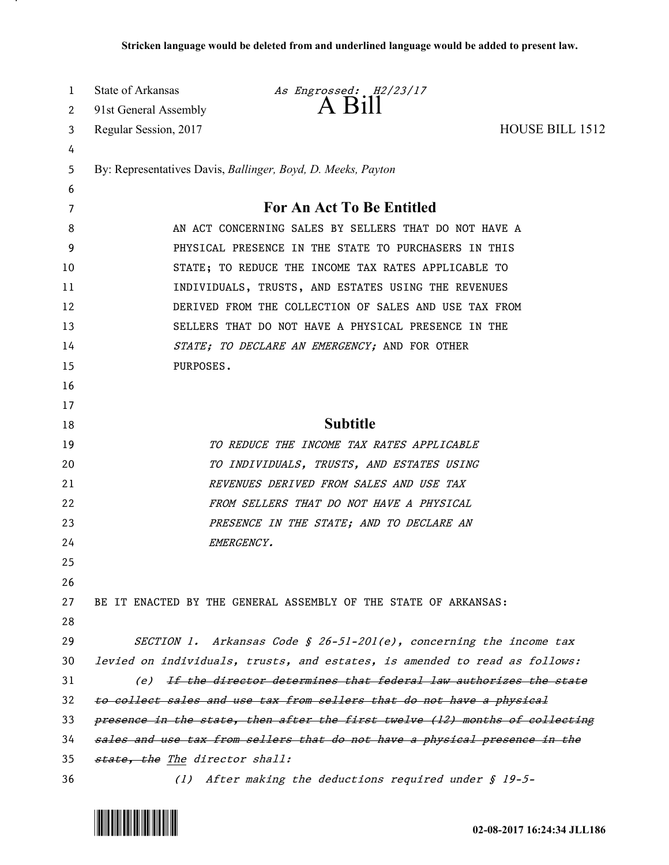| 1  | State of Arkansas                                     | As Engrossed: H2/23/17                                                       |                 |
|----|-------------------------------------------------------|------------------------------------------------------------------------------|-----------------|
| 2  | 91st General Assembly                                 | $A$ $B1$                                                                     |                 |
| 3  | Regular Session, 2017                                 |                                                                              | HOUSE BILL 1512 |
| 4  |                                                       |                                                                              |                 |
| 5  |                                                       | By: Representatives Davis, Ballinger, Boyd, D. Meeks, Payton                 |                 |
| 6  |                                                       |                                                                              |                 |
| 7  |                                                       | For An Act To Be Entitled                                                    |                 |
| 8  | AN ACT CONCERNING SALES BY SELLERS THAT DO NOT HAVE A |                                                                              |                 |
| 9  | PHYSICAL PRESENCE IN THE STATE TO PURCHASERS IN THIS  |                                                                              |                 |
| 10 |                                                       | STATE; TO REDUCE THE INCOME TAX RATES APPLICABLE TO                          |                 |
| 11 |                                                       | INDIVIDUALS, TRUSTS, AND ESTATES USING THE REVENUES                          |                 |
| 12 |                                                       | DERIVED FROM THE COLLECTION OF SALES AND USE TAX FROM                        |                 |
| 13 |                                                       | SELLERS THAT DO NOT HAVE A PHYSICAL PRESENCE IN THE                          |                 |
| 14 |                                                       | STATE; TO DECLARE AN EMERGENCY; AND FOR OTHER                                |                 |
| 15 | PURPOSES.                                             |                                                                              |                 |
| 16 |                                                       |                                                                              |                 |
| 17 |                                                       |                                                                              |                 |
| 18 |                                                       | <b>Subtitle</b>                                                              |                 |
| 19 |                                                       | TO REDUCE THE INCOME TAX RATES APPLICABLE                                    |                 |
| 20 |                                                       | TO INDIVIDUALS, TRUSTS, AND ESTATES USING                                    |                 |
| 21 |                                                       | REVENUES DERIVED FROM SALES AND USE TAX                                      |                 |
| 22 |                                                       | FROM SELLERS THAT DO NOT HAVE A PHYSICAL                                     |                 |
| 23 |                                                       | PRESENCE IN THE STATE; AND TO DECLARE AN                                     |                 |
| 24 |                                                       | EMERGENCY.                                                                   |                 |
| 25 |                                                       |                                                                              |                 |
| 26 |                                                       |                                                                              |                 |
| 27 |                                                       | BE IT ENACTED BY THE GENERAL ASSEMBLY OF THE STATE OF ARKANSAS:              |                 |
| 28 |                                                       |                                                                              |                 |
| 29 |                                                       | SECTION 1. Arkansas Code § 26-51-201(e), concerning the income tax           |                 |
| 30 |                                                       | levied on individuals, trusts, and estates, is amended to read as follows:   |                 |
| 31 |                                                       | (e) If the director determines that federal law authorizes the state         |                 |
| 32 |                                                       | to collect sales and use tax from sellers that do not have a physical        |                 |
| 33 |                                                       | presence in the state, then after the first twelve (12) months of collecting |                 |
| 34 |                                                       | sales and use tax from sellers that do not have a physical presence in the   |                 |
| 35 | state, the The director shall:                        |                                                                              |                 |
| 36 |                                                       | (1) After making the deductions required under $\int$ 19-5-                  |                 |



л.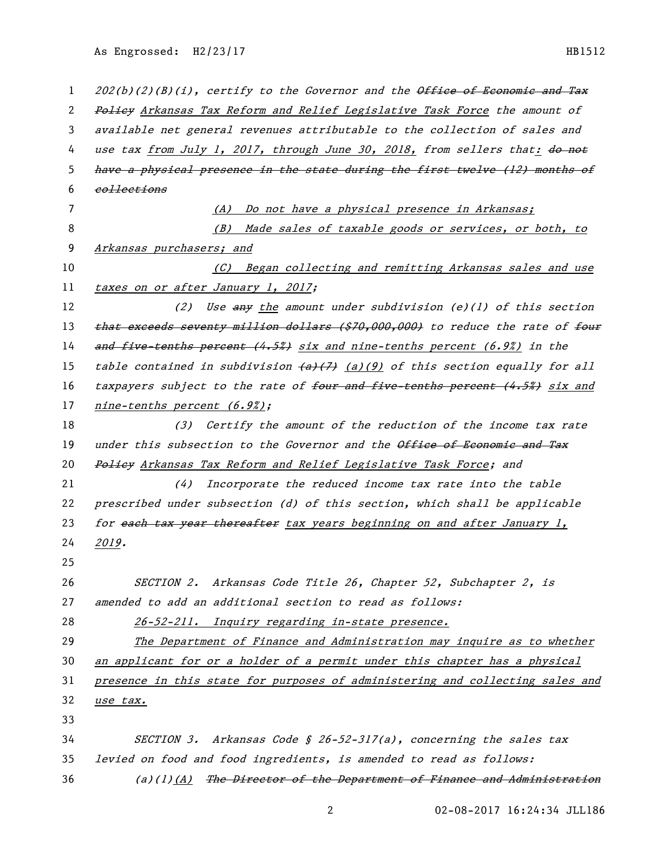As Engrossed: H2/23/17 HB1512

| $\mathbf{1}$ | 202(b)(2)(B)(i), certify to the Governor and the Office of Economic and Tax                        |
|--------------|----------------------------------------------------------------------------------------------------|
| 2            | Policy Arkansas Tax Reform and Relief Legislative Task Force the amount of                         |
| 3            | available net general revenues attributable to the collection of sales and                         |
| 4            | use tax from July 1, 2017, through June 30, 2018, from sellers that: do not                        |
| 5            | have a physical presence in the state during the first twelve (12) months of                       |
| 6            | eollections                                                                                        |
| 7            | (A) Do not have a physical presence in Arkansas;                                                   |
| 8            | (B) Made sales of taxable goods or services, or both, to                                           |
| 9            | Arkansas purchasers; and                                                                           |
| 10           | (C) Began collecting and remitting Arkansas sales and use                                          |
| 11           | taxes on or after January 1, 2017;                                                                 |
| 12           | Use $\frac{any}{x}$ the amount under subdivision (e)(1) of this section<br>(2)                     |
| 13           | that exceeds seventy million dollars (\$70,000,000) to reduce the rate of four                     |
| 14           | and five-tenths percent (4.5%) six and nine-tenths percent (6.9%) in the                           |
| 15           | table contained in subdivision $\left\{\frac{a}{f}\right\}$ (a)(9) of this section equally for all |
| 16           | taxpayers subject to the rate of four and five-tenths percent (4.5%) six and                       |
| 17           | nine-tenths percent (6.9%);                                                                        |
| 18           | (3) Certify the amount of the reduction of the income tax rate                                     |
| 19           | under this subsection to the Governor and the Office of Economic and Tax                           |
| 20           | Policy Arkansas Tax Reform and Relief Legislative Task Force; and                                  |
| 21           | Incorporate the reduced income tax rate into the table<br>(4)                                      |
| 22           | prescribed under subsection (d) of this section, which shall be applicable                         |
| 23           | for each tax year thereafter tax years beginning on and after January 1,                           |
| 24           | 2019.                                                                                              |
| 25           |                                                                                                    |
| 26           | SECTION 2. Arkansas Code Title 26, Chapter 52, Subchapter 2, is                                    |
| 27           | amended to add an additional section to read as follows:                                           |
| 28           | 26-52-211. Inquiry regarding in-state presence.                                                    |
| 29           | The Department of Finance and Administration may inquire as to whether                             |
| 30           | an applicant for or a holder of a permit under this chapter has a physical                         |
| 31           | presence in this state for purposes of administering and collecting sales and                      |
| 32           | use tax.                                                                                           |
| 33           |                                                                                                    |
| 34           | SECTION 3. Arkansas Code § 26-52-317(a), concerning the sales tax                                  |
| 35           | levied on food and food ingredients, is amended to read as follows:                                |
| 36           | $(a)(1)$ $(A)$ The Director of the Department of Finance and Administration                        |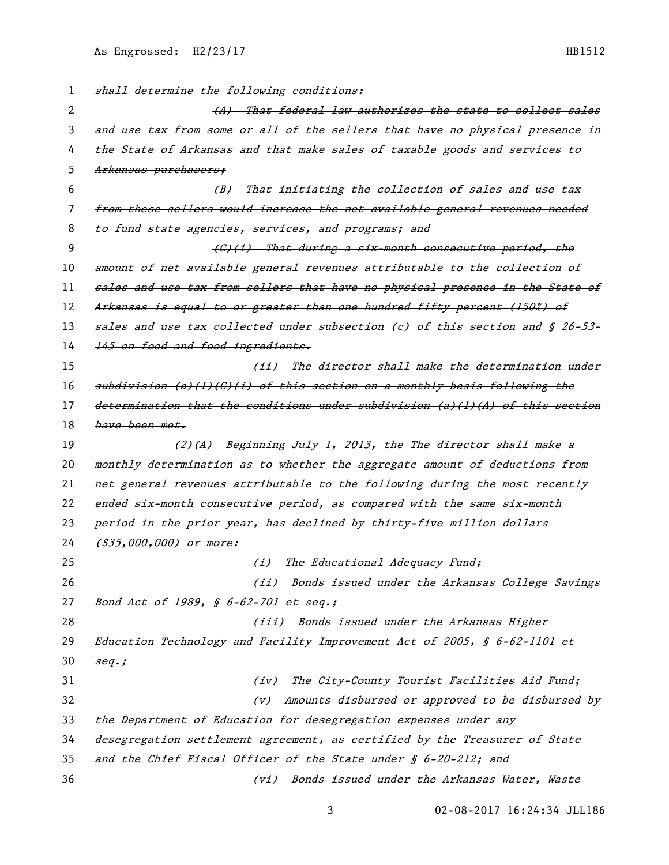1 shall determine the following conditions: 2 (A) That federal law authorizes the state to collect sales 3 and use tax from some or all of the sellers that have no physical presence in 4 the State of Arkansas and that make sales of taxable goods and services to 5 Arkansas purchasers; 6 (B) That initiating the collection of sales and use tax 7 from these sellers would increase the net available general revenues needed 8 to fund state agencies, services, and programs; and 9 (G)(i) That during a six-month consecutive period, the 10 amount of net available general revenues attributable to the collection of 11 sales and use tax from sellers that have no physical presence in the State of 12 Arkansas is equal to or greater than one hundred fifty percent (150%) of 13 sales and use tax collected under subsection (e) of this section and § 26-53-14 145 on food and food ingredients. 15 (*ii)* The director shall make the determination under 16 subdivision (a)(1)(C)(i) of this section on a monthly basis following the 17 determination that the conditions under subdivision (a)(1)(A) of this section 18 have been met. 19 (2)(A) Beginning July 1, 2013, the The director shall make a 20 monthly determination as to whether the aggregate amount of deductions from 21 net general revenues attributable to the following during the most recently 22 ended six-month consecutive period, as compared with the same six-month 23 period in the prior year, has declined by thirty-five million dollars 24 (\$35,000,000) or more: 25 (i) The Educational Adequacy Fund; 26 (ii) Bonds issued under the Arkansas College Savings 27 Bond Act of 1989, § 6-62-701 et seq.; 28 (iii) Bonds issued under the Arkansas Higher 29 Education Technology and Facility Improvement Act of 2005, § 6-62-1101 et 30 seq.; 31 (iv) The City-County Tourist Facilities Aid Fund; 32 (v) Amounts disbursed or approved to be disbursed by 33 the Department of Education for desegregation expenses under any 34 desegregation settlement agreement, as certified by the Treasurer of State 35 and the Chief Fiscal Officer of the State under § 6-20-212; and 36 (vi) Bonds issued under the Arkansas Water, Waste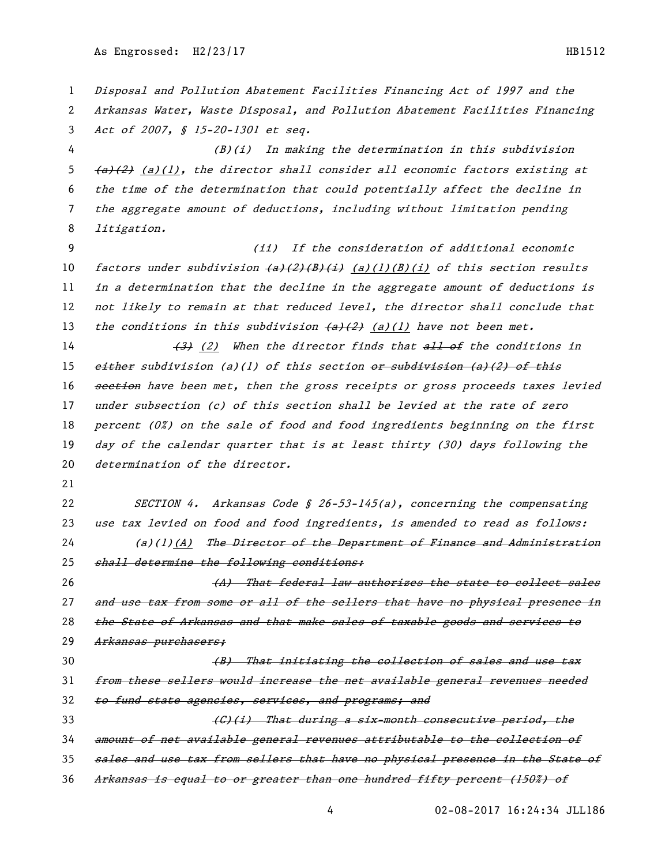Disposal and Pollution Abatement Facilities Financing Act of 1997 and the Arkansas Water, Waste Disposal, and Pollution Abatement Facilities Financing Act of 2007, § 15-20-1301 et seq. (B)(i) In making the determination in this subdivision  $(a)(1)$ , the director shall consider all economic factors existing at the time of the determination that could potentially affect the decline in the aggregate amount of deductions, including without limitation pending litigation. (ii) If the consideration of additional economic 10 factors under subdivision  $\frac{a}{2}(B)(B)(i)$  (a)(1)(B)(i) of this section results in a determination that the decline in the aggregate amount of deductions is not likely to remain at that reduced level, the director shall conclude that 13 the conditions in this subdivision  $\left\{\frac{a}{2}\right\}$  (a)(1) have not been met.  $\left(3\right)$  (2) When the director finds that  $\frac{11}{100}$  of the conditions in 15 either subdivision (a)(1) of this section  $er$  subdivision (a)(2) of this 16 section have been met, then the gross receipts or gross proceeds taxes levied under subsection (c) of this section shall be levied at the rate of zero 18 percent  $(0<sup>x</sup>)$  on the sale of food and food ingredients beginning on the first day of the calendar quarter that is at least thirty (30) days following the 20 determination of the director. 22 SECTION 4. Arkansas Code  $\oint$  26-53-145(a), concerning the compensating use tax levied on food and food ingredients, is amended to read as follows: 24 (a)(1)(A) The Director of the Department of Finance and Administration 25 shall determine the following conditions: 26 (A) That federal law authorizes the state to collect sales 27 and use tax from some or all of the sellers that have no physical presence in the State of Arkansas and that make sales of taxable goods and services to Arkansas purchasers; **(B)** That initiating the collection of sales and use tax from these sellers would increase the net available general revenues needed 32 to fund state agencies, services, and programs; and 33 (G)(i) That during a six-month consecutive period, the amount of net available general revenues attributable to the collection of sales and use tax from sellers that have no physical presence in the State of Arkansas is equal to or greater than one hundred fifty percent (150%) of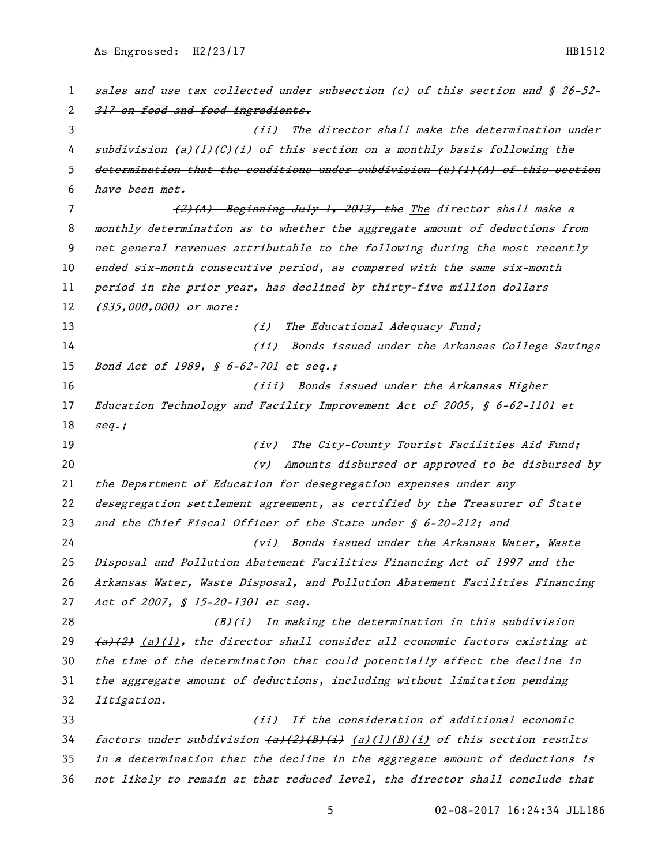1 sales and use tax collected under subsection (c) of this section and § 26-52-2 317 on food and food ingredients. 3 (ii) The director shall make the determination under subdivision (a)(1)(C)(i) of this section on a monthly basis following the 5 determination that the conditions under subdivision (a)(1)(A) of this section have been met. 7 (2)(A) Beginning July 1, 2013, the The director shall make a monthly determination as to whether the aggregate amount of deductions from net general revenues attributable to the following during the most recently ended six-month consecutive period, as compared with the same six-month period in the prior year, has declined by thirty-five million dollars 12 (\$35,000,000) or more: 13 (i) The Educational Adequacy Fund; (ii) Bonds issued under the Arkansas College Savings 15 Bond Act of 1989, § 6-62-701 et seq.; (iii) Bonds issued under the Arkansas Higher Education Technology and Facility Improvement Act of 2005, § 6-62-1101 et seq.; 19 (iv) The City-County Tourist Facilities Aid Fund; (v) Amounts disbursed or approved to be disbursed by the Department of Education for desegregation expenses under any desegregation settlement agreement, as certified by the Treasurer of State 23 and the Chief Fiscal Officer of the State under § 6-20-212; and (vi) Bonds issued under the Arkansas Water, Waste Disposal and Pollution Abatement Facilities Financing Act of 1997 and the Arkansas Water, Waste Disposal, and Pollution Abatement Facilities Financing 27 Act of 2007, § 15-20-1301 et seq. 28 (B)(i) In making the determination in this subdivision  $(a)(1)$ , the director shall consider all economic factors existing at the time of the determination that could potentially affect the decline in the aggregate amount of deductions, including without limitation pending litigation. (ii) If the consideration of additional economic 34 factors under subdivision  $\frac{a}{2}(B)(B)(i)$  (a)(1)(B)(i) of this section results in a determination that the decline in the aggregate amount of deductions is not likely to remain at that reduced level, the director shall conclude that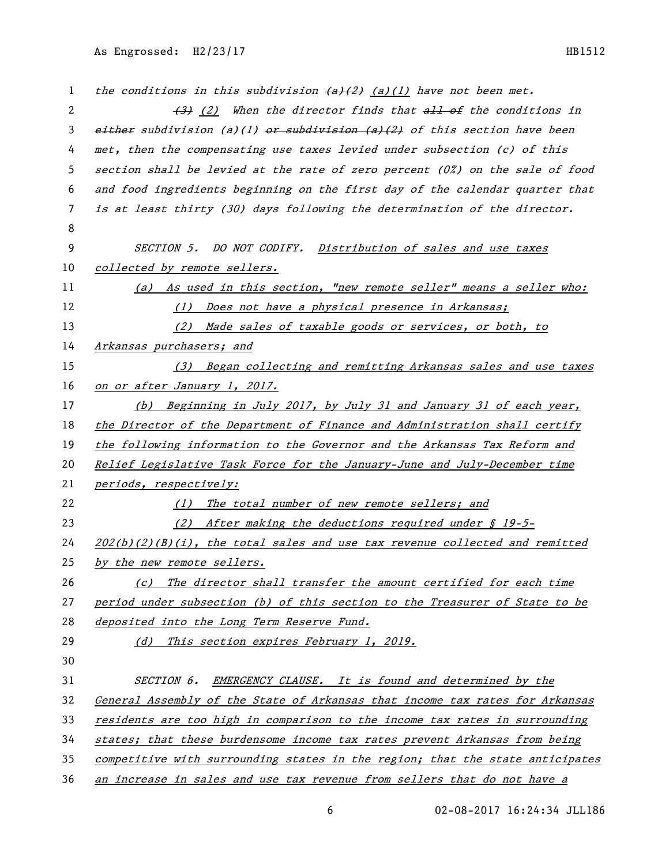1 the conditions in this subdivision  $\left\langle a\right\rangle (2)$  (a)(1) have not been met. 2 (3) When the director finds that all of the conditions in 3 either subdivision (a)(1) or subdivision (a)(2) of this section have been met, then the compensating use taxes levied under subsection (c) of this section shall be levied at the rate of zero percent (0%) on the sale of food and food ingredients beginning on the first day of the calendar quarter that is at least thirty (30) days following the determination of the director. SECTION 5. DO NOT CODIFY. Distribution of sales and use taxes 10 collected by remote sellers. (a) As used in this section, "new remote seller" means a seller who: 12 (1) Does not have a physical presence in Arkansas; (2) Made sales of taxable goods or services, or both, to Arkansas purchasers; and (3) Began collecting and remitting Arkansas sales and use taxes 16 on or after January 1, 2017. (b) Beginning in July 2017, by July 31 and January 31 of each year, 18 the Director of the Department of Finance and Administration shall certify the following information to the Governor and the Arkansas Tax Reform and Relief Legislative Task Force for the January-June and July-December time 21 periods, respectively: 22 (1) The total number of new remote sellers; and 23 (2) After making the deductions required under § 19-5-  $202(b)(2)(B)(i)$ , the total sales and use tax revenue collected and remitted 25 by the new remote sellers. 26 (c) The director shall transfer the amount certified for each time period under subsection (b) of this section to the Treasurer of State to be 28 deposited into the Long Term Reserve Fund. 29 (d) This section expires February 1, 2019. SECTION 6. EMERGENCY CLAUSE. It is found and determined by the General Assembly of the State of Arkansas that income tax rates for Arkansas residents are too high in comparison to the income tax rates in surrounding states; that these burdensome income tax rates prevent Arkansas from being competitive with surrounding states in the region; that the state anticipates an increase in sales and use tax revenue from sellers that do not have a